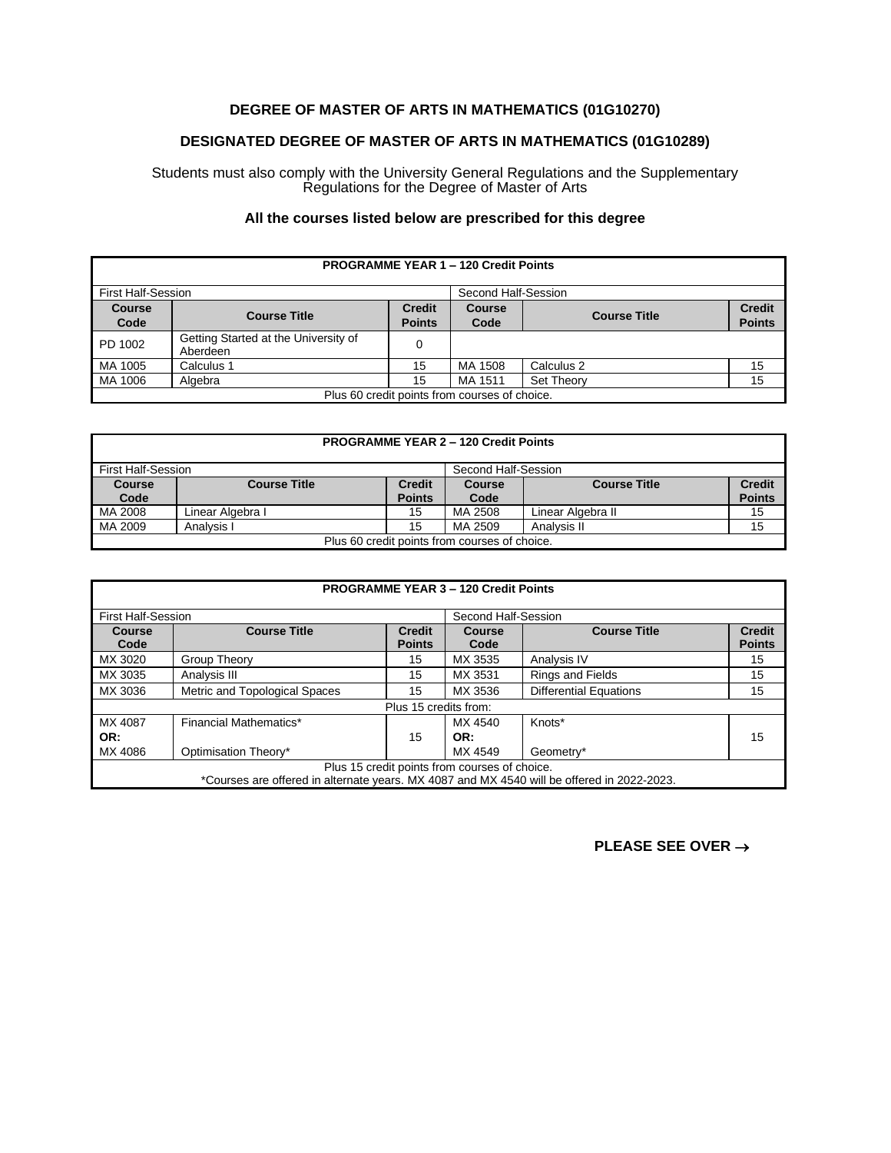## **DEGREE OF MASTER OF ARTS IN MATHEMATICS (01G10270)**

## **DESIGNATED DEGREE OF MASTER OF ARTS IN MATHEMATICS (01G10289)**

Students must also comply with the University General Regulations and the Supplementary Regulations for the Degree of Master of Arts

## **All the courses listed below are prescribed for this degree**

| <b>PROGRAMME YEAR 1 - 120 Credit Points</b>   |                                                  |                                |                       |                     |                                |
|-----------------------------------------------|--------------------------------------------------|--------------------------------|-----------------------|---------------------|--------------------------------|
| <b>First Half-Session</b>                     |                                                  |                                | Second Half-Session   |                     |                                |
| <b>Course</b><br>Code                         | <b>Course Title</b>                              | <b>Credit</b><br><b>Points</b> | <b>Course</b><br>Code | <b>Course Title</b> | <b>Credit</b><br><b>Points</b> |
| PD 1002                                       | Getting Started at the University of<br>Aberdeen |                                |                       |                     |                                |
| MA 1005                                       | Calculus 1                                       | 15                             | MA 1508               | Calculus 2          | 15                             |
| MA 1006                                       | Algebra                                          | 15                             | MA 1511               | Set Theory          | 15                             |
| Plus 60 credit points from courses of choice. |                                                  |                                |                       |                     |                                |

| <b>PROGRAMME YEAR 2 - 120 Credit Points</b>   |                     |                                |                       |                     |                                |
|-----------------------------------------------|---------------------|--------------------------------|-----------------------|---------------------|--------------------------------|
| <b>First Half-Session</b>                     |                     |                                | Second Half-Session   |                     |                                |
| <b>Course</b><br>Code                         | <b>Course Title</b> | <b>Credit</b><br><b>Points</b> | <b>Course</b><br>Code | <b>Course Title</b> | <b>Credit</b><br><b>Points</b> |
| MA 2008                                       | Linear Algebra I    | 15                             | MA 2508               | Linear Algebra II   | 15                             |
| MA 2009                                       | Analysis I          | 15                             | MA 2509               | Analysis II         | 15                             |
| Plus 60 credit points from courses of choice. |                     |                                |                       |                     |                                |

|                                                                                                                                             | <b>PROGRAMME YEAR 3 - 120 Credit Points</b> |                                |                     |                               |                                |  |
|---------------------------------------------------------------------------------------------------------------------------------------------|---------------------------------------------|--------------------------------|---------------------|-------------------------------|--------------------------------|--|
| <b>First Half-Session</b>                                                                                                                   |                                             |                                | Second Half-Session |                               |                                |  |
| Course<br>Code                                                                                                                              | <b>Course Title</b>                         | <b>Credit</b><br><b>Points</b> | Course<br>Code      | <b>Course Title</b>           | <b>Credit</b><br><b>Points</b> |  |
| MX 3020                                                                                                                                     | Group Theory                                | 15                             | MX 3535             | Analysis IV                   | 15                             |  |
| MX 3035                                                                                                                                     | Analysis III                                | 15                             | MX 3531             | <b>Rings and Fields</b>       | 15                             |  |
| MX 3036                                                                                                                                     | Metric and Topological Spaces               | 15                             | MX 3536             | <b>Differential Equations</b> | 15                             |  |
|                                                                                                                                             |                                             | Plus 15 credits from:          |                     |                               |                                |  |
| MX 4087                                                                                                                                     | Financial Mathematics*                      |                                | MX 4540             | Knots*                        |                                |  |
| OR:                                                                                                                                         |                                             | 15                             | OR:                 |                               | 15                             |  |
| MX 4086                                                                                                                                     | Optimisation Theory*                        |                                | MX 4549             | Geometry*                     |                                |  |
| Plus 15 credit points from courses of choice.<br>*Courses are offered in alternate years. MX 4087 and MX 4540 will be offered in 2022-2023. |                                             |                                |                     |                               |                                |  |

**PLEASE SEE OVER** →